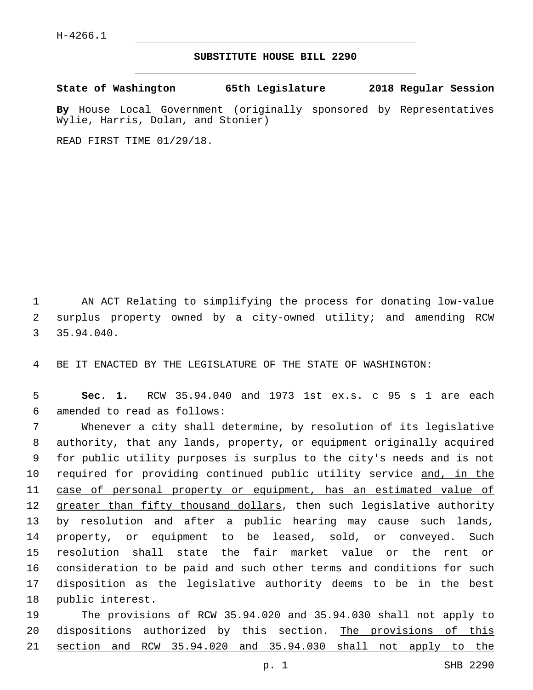## **SUBSTITUTE HOUSE BILL 2290**

**State of Washington 65th Legislature 2018 Regular Session**

**By** House Local Government (originally sponsored by Representatives Wylie, Harris, Dolan, and Stonier)

READ FIRST TIME 01/29/18.

1 AN ACT Relating to simplifying the process for donating low-value 2 surplus property owned by a city-owned utility; and amending RCW 35.94.040.

4 BE IT ENACTED BY THE LEGISLATURE OF THE STATE OF WASHINGTON:

5 **Sec. 1.** RCW 35.94.040 and 1973 1st ex.s. c 95 s 1 are each amended to read as follows:6

 Whenever a city shall determine, by resolution of its legislative authority, that any lands, property, or equipment originally acquired for public utility purposes is surplus to the city's needs and is not 10 required for providing continued public utility service and, in the case of personal property or equipment, has an estimated value of 12 greater than fifty thousand dollars, then such legislative authority by resolution and after a public hearing may cause such lands, property, or equipment to be leased, sold, or conveyed. Such resolution shall state the fair market value or the rent or consideration to be paid and such other terms and conditions for such disposition as the legislative authority deems to be in the best 18 public interest.

19 The provisions of RCW 35.94.020 and 35.94.030 shall not apply to 20 dispositions authorized by this section. The provisions of this 21 section and RCW 35.94.020 and 35.94.030 shall not apply to the